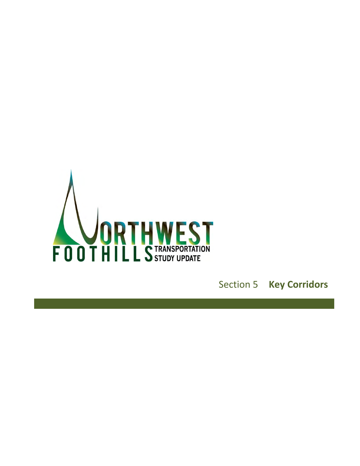<span id="page-0-0"></span>

Section 5 **Key Corridors**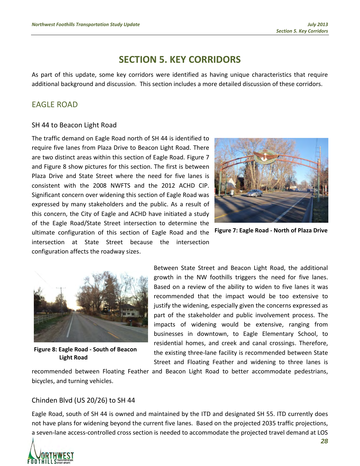# **[SECTION 5.](#page-0-0) KEY CORRIDORS**

As part of this update, some key corridors were identified as having unique characteristics that require additional background and discussion. This section includes a more detailed discussion of these corridors.

## EAGLE ROAD

#### SH 44 to Beacon Light Road

The traffic demand on Eagle Road north of SH 44 is identified to require five lanes from Plaza Drive to Beacon Light Road. There are two distinct areas within this section of Eagle Road. [Figure 7](#page-2-0) and [Figure 8](#page-2-1) show pictures for this section. The first is between Plaza Drive and State Street where the need for five lanes is consistent with the 2008 NWFTS and the 2012 ACHD CIP. Significant concern over widening this section of Eagle Road was expressed by many stakeholders and the public. As a result of this concern, the City of Eagle and ACHD have initiated a study of the Eagle Road/State Street intersection to determine the ultimate configuration of this section of Eagle Road and the intersection at State Street because the intersection configuration affects the roadway sizes.



**Figure 7: Eagle Road - North of Plaza Drive**



**Figure 8: Eagle Road - South of Beacon Light Road**

<span id="page-2-0"></span>Between State Street and Beacon Light Road, the additional growth in the NW foothills triggers the need for five lanes. Based on a review of the ability to widen to five lanes it was recommended that the impact would be too extensive to justify the widening, especially given the concerns expressed as part of the stakeholder and public involvement process. The impacts of widening would be extensive, ranging from businesses in downtown, to Eagle Elementary School, to residential homes, and creek and canal crossings. Therefore, the existing three-lane facility is recommended between State Street and Floating Feather and widening to three lanes is

<span id="page-2-1"></span>recommended between Floating Feather and Beacon Light Road to better accommodate pedestrians, bicycles, and turning vehicles.

#### Chinden Blvd (US 20/26) to SH 44

Eagle Road, south of SH 44 is owned and maintained by the ITD and designated SH 55. ITD currently does not have plans for widening beyond the current five lanes. Based on the projected 2035 traffic projections, a seven-lane access-controlled cross section is needed to accommodate the projected travel demand at LOS

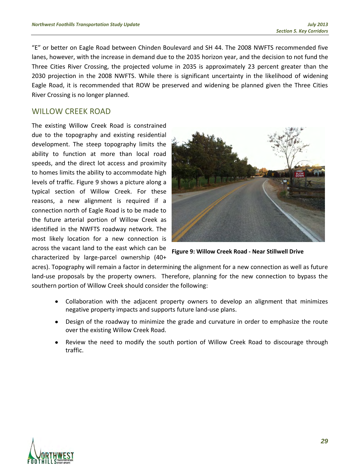"E" or better on Eagle Road between Chinden Boulevard and SH 44. The 2008 NWFTS recommended five lanes, however, with the increase in demand due to the 2035 horizon year, and the decision to not fund the Three Cities River Crossing, the projected volume in 2035 is approximately 23 percent greater than the 2030 projection in the 2008 NWFTS. While there is significant uncertainty in the likelihood of widening Eagle Road, it is recommended that ROW be preserved and widening be planned given the Three Cities River Crossing is no longer planned.

### WILLOW CREEK ROAD

The existing Willow Creek Road is constrained due to the topography and existing residential development. The steep topography limits the ability to function at more than local road speeds, and the direct lot access and proximity to homes limits the ability to accommodate high levels of traffic. [Figure 9](#page-3-0) shows a picture along a typical section of Willow Creek. For these reasons, a new alignment is required if a connection north of Eagle Road is to be made to the future arterial portion of Willow Creek as identified in the NWFTS roadway network. The most likely location for a new connection is across the vacant land to the east which can be characterized by large-parcel ownership (40+

<span id="page-3-0"></span>

**Figure 9: Willow Creek Road - Near Stillwell Drive**

acres). Topography will remain a factor in determining the alignment for a new connection as well as future land-use proposals by the property owners. Therefore, planning for the new connection to bypass the southern portion of Willow Creek should consider the following:

- $\bullet$ Collaboration with the adjacent property owners to develop an alignment that minimizes negative property impacts and supports future land-use plans.
- Design of the roadway to minimize the grade and curvature in order to emphasize the route  $\bullet$ over the existing Willow Creek Road.
- Review the need to modify the south portion of Willow Creek Road to discourage through traffic.

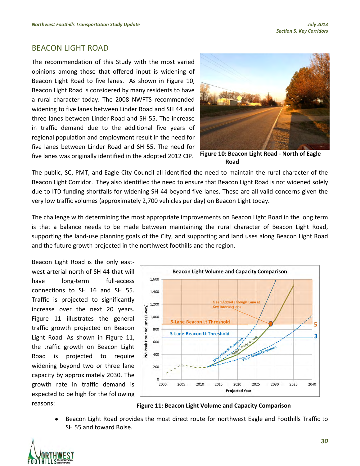### BEACON LIGHT ROAD

The recommendation of this Study with the most varied opinions among those that offered input is widening of Beacon Light Road to five lanes. As shown in Figure 10, Beacon Light Road is considered by many residents to have a rural character today. The 2008 NWFTS recommended widening to five lanes between Linder Road and SH 44 and three lanes between Linder Road and SH 55. The increase in traffic demand due to the additional five years of regional population and employment result in the need for five lanes between Linder Road and SH 55. The need for five lanes was originally identified in the adopted 2012 CIP.



**Figure 10: Beacon Light Road - North of Eagle Road**

The public, SC, PMT, and Eagle City Council all identified the need to maintain the rural character of the Beacon Light Corridor. They also identified the need to ensure that Beacon Light Road is not widened solely due to ITD funding shortfalls for widening SH 44 beyond five lanes. These are all valid concerns given the very low traffic volumes (approximately 2,700 vehicles per day) on Beacon Light today.

The challenge with determining the most appropriate improvements on Beacon Light Road in the long term is that a balance needs to be made between maintaining the rural character of Beacon Light Road, supporting the land-use planning goals of the City, and supporting and land uses along Beacon Light Road and the future growth projected in the northwest foothills and the region.

Beacon Light Road is the only eastwest arterial north of SH 44 that will have long-term full-access connections to SH 16 and SH 55. Traffic is projected to significantly increase over the next 20 years. [Figure 11](#page-4-0) illustrates the general traffic growth projected on Beacon Light Road. As shown in [Figure 11,](#page-4-0) the traffic growth on Beacon Light Road is projected to require widening beyond two or three lane capacity by approximately 2030. The growth rate in traffic demand is expected to be high for the following reasons:



<span id="page-4-0"></span>**Figure 11: Beacon Light Volume and Capacity Comparison**

Beacon Light Road provides the most direct route for northwest Eagle and Foothills Traffic to SH 55 and toward Boise.

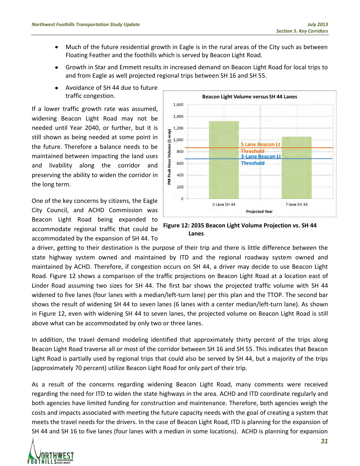- Much of the future residential growth in Eagle is in the rural areas of the City such as between  $\bullet$ Floating Feather and the foothills which is served by Beacon Light Road.
- Growth in Star and Emmett results in increased demand on Beacon Light Road for local trips to  $\bullet$ and from Eagle as well projected regional trips between SH 16 and SH 55.
- Avoidance of SH 44 due to future  $\bullet$ traffic congestion.

If a lower traffic growth rate was assumed, widening Beacon Light Road may not be needed until Year 2040, or further, but it is still shown as being needed at some point in the future. Therefore a balance needs to be maintained between impacting the land uses and livability along the corridor and preserving the ability to widen the corridor in the long term.

One of the key concerns by citizens, the Eagle City Council, and ACHD Commission was Beacon Light Road being expanded to accommodate regional traffic that could be accommodated by the expansion of SH 44. To



<span id="page-5-0"></span>**Figure 12: 2035 Beacon Light Volume Projection vs. SH 44 Lanes**

a driver, getting to their destination is the purpose of their trip and there is little difference between the state highway system owned and maintained by ITD and the regional roadway system owned and maintained by ACHD. Therefore, if congestion occurs on SH 44, a driver may decide to use Beacon Light Road. Figure 12 shows a comparison of the traffic projections on Beacon Light Road at a location east of Linder Road assuming two sizes for SH 44. The first bar shows the projected traffic volume with SH 44 widened to five lanes (four lanes with a median/left-turn lane) per this plan and the TTOP. The second bar shows the result of widening SH 44 to seven lanes (6 lanes with a center median/left-turn lane). As shown in [Figure 12,](#page-5-0) even with widening SH 44 to seven lanes, the projected volume on Beacon Light Road is still above what can be accommodated by only two or three lanes.

In addition, the travel demand modeling identified that approximately thirty percent of the trips along Beacon Light Road traverse all or most of the corridor between SH 16 and SH 55. This indicates that Beacon Light Road is partially used by regional trips that could also be served by SH 44, but a majority of the trips (approximately 70 percent) utilize Beacon Light Road for only part of their trip.

As a result of the concerns regarding widening Beacon Light Road, many comments were received regarding the need for ITD to widen the state highways in the area. ACHD and ITD coordinate regularly and both agencies have limited funding for construction and maintenance. Therefore, both agencies weigh the costs and impacts associated with meeting the future capacity needs with the goal of creating a system that meets the travel needs for the drivers. In the case of Beacon Light Road, ITD is planning for the expansion of SH 44 and SH 16 to five lanes (four lanes with a median in some locations). ACHD is planning for expansion

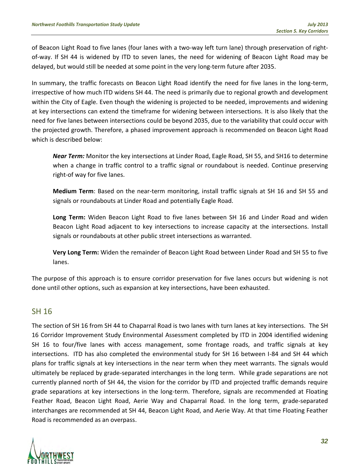of Beacon Light Road to five lanes (four lanes with a two-way left turn lane) through preservation of rightof-way. If SH 44 is widened by ITD to seven lanes, the need for widening of Beacon Light Road may be delayed, but would still be needed at some point in the very long-term future after 2035.

In summary, the traffic forecasts on Beacon Light Road identify the need for five lanes in the long-term, irrespective of how much ITD widens SH 44. The need is primarily due to regional growth and development within the City of Eagle. Even though the widening is projected to be needed, improvements and widening at key intersections can extend the timeframe for widening between intersections. It is also likely that the need for five lanes between intersections could be beyond 2035, due to the variability that could occur with the projected growth. Therefore, a phased improvement approach is recommended on Beacon Light Road which is described below:

*Near Term:* Monitor the key intersections at Linder Road, Eagle Road, SH 55, and SH16 to determine when a change in traffic control to a traffic signal or roundabout is needed. Continue preserving right-of way for five lanes.

**Medium Term**: Based on the near-term monitoring, install traffic signals at SH 16 and SH 55 and signals or roundabouts at Linder Road and potentially Eagle Road.

**Long Term:** Widen Beacon Light Road to five lanes between SH 16 and Linder Road and widen Beacon Light Road adjacent to key intersections to increase capacity at the intersections. Install signals or roundabouts at other public street intersections as warranted.

**Very Long Term:** Widen the remainder of Beacon Light Road between Linder Road and SH 55 to five lanes.

The purpose of this approach is to ensure corridor preservation for five lanes occurs but widening is not done until other options, such as expansion at key intersections, have been exhausted.

### SH 16

The section of SH 16 from SH 44 to Chaparral Road is two lanes with turn lanes at key intersections. The SH 16 Corridor Improvement Study Environmental Assessment completed by ITD in 2004 identified widening SH 16 to four/five lanes with access management, some frontage roads, and traffic signals at key intersections. ITD has also completed the environmental study for SH 16 between I-84 and SH 44 which plans for traffic signals at key intersections in the near term when they meet warrants. The signals would ultimately be replaced by grade-separated interchanges in the long term. While grade separations are not currently planned north of SH 44, the vision for the corridor by ITD and projected traffic demands require grade separations at key intersections in the long-term. Therefore, signals are recommended at Floating Feather Road, Beacon Light Road, Aerie Way and Chaparral Road. In the long term, grade-separated interchanges are recommended at SH 44, Beacon Light Road, and Aerie Way. At that time Floating Feather Road is recommended as an overpass.

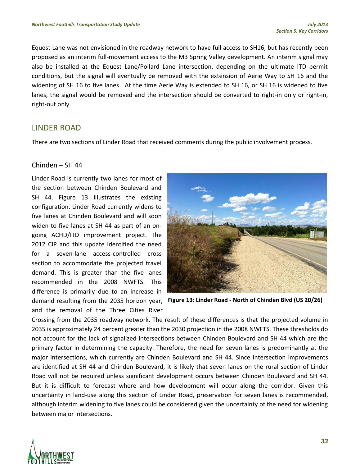Equest Lane was not envisioned in the roadway network to have full access to SH16, but has recently been proposed as an interim full-movement access to the M3 Spring Valley development. An interim signal may also be installed at the Equest Lane/Pollard Lane intersection, depending on the ultimate ITD permit conditions, but the signal will eventually be removed with the extension of Aerie Way to SH 16 and the widening of SH 16 to five lanes. At the time Aerie Way is extended to SH 16, or SH 16 is widened to five lanes, the signal would be removed and the intersection should be converted to right-in only or right-in, right-out only.

### LINDER ROAD

There are two sections of Linder Road that received comments during the public involvement process.

#### Chinden – SH 44

Linder Road is currently two lanes for most of the section between Chinden Boulevard and SH 44. [Figure 13](#page-7-0) illustrates the existing configuration. Linder Road currently widens to five lanes at Chinden Boulevard and will soon widen to five lanes at SH 44 as part of an ongoing ACHD/ITD improvement project. The 2012 CIP and this update identified the need for a seven-lane access-controlled cross section to accommodate the projected travel demand. This is greater than the five lanes recommended in the 2008 NWFTS. This difference is primarily due to an increase in demand resulting from the 2035 horizon year, **Figure 13: Linder Road - North of Chinden Blvd (US 20/26)**and the removal of the Three Cities River

<span id="page-7-0"></span>

Crossing from the 2035 roadway network. The result of these differences is that the projected volume in 2035 is approximately 24 percent greater than the 2030 projection in the 2008 NWFTS. These thresholds do not account for the lack of signalized intersections between Chinden Boulevard and SH 44 which are the primary factor in determining the capacity. Therefore, the need for seven lanes is predominantly at the major intersections, which currently are Chinden Boulevard and SH 44. Since intersection improvements are identified at SH 44 and Chinden Boulevard, it is likely that seven lanes on the rural section of Linder Road will not be required unless significant development occurs between Chinden Boulevard and SH 44. But it is difficult to forecast where and how development will occur along the corridor. Given this uncertainty in land-use along this section of Linder Road, preservation for seven lanes is recommended, although interim widening to five lanes could be considered given the uncertainty of the need for widening between major intersections.